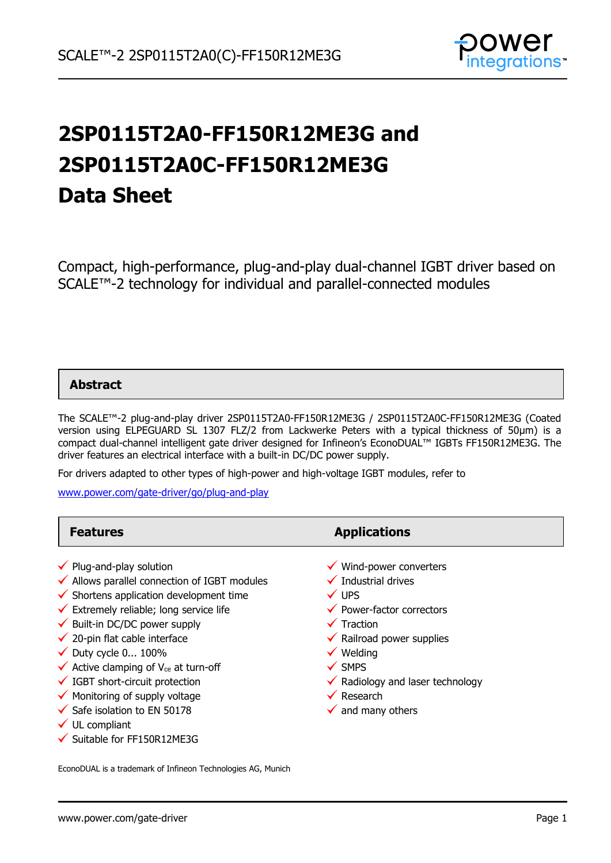

# **2SP0115T2A0-FF150R12ME3G and 2SP0115T2A0C-FF150R12ME3G Data Sheet**

Compact, high-performance, plug-and-play dual-channel IGBT driver based on SCALE™-2 technology for individual and parallel-connected modules

### **Abstract**

The SCALE™-2 plug-and-play driver 2SP0115T2A0-FF150R12ME3G / 2SP0115T2A0C-FF150R12ME3G (Coated version using ELPEGUARD SL 1307 FLZ/2 from Lackwerke Peters with a typical thickness of 50µm) is a compact dual-channel intelligent gate driver designed for Infineon's EconoDUAL™ IGBTs FF150R12ME3G. The driver features an electrical interface with a built-in DC/DC power supply.

For drivers adapted to other types of high-power and high-voltage IGBT modules, refer to

[www.power.com/gate-driver/go/plug-and-play](http://www.power.com/gate-driver/go/plug-and-play)

| <b>Features</b>                                                                                                                                                                                                                                                                                                                                                                                                                                                                                                                                                        | <b>Applications</b>                                                                                                                                                                                                                                                                                                                                    |
|------------------------------------------------------------------------------------------------------------------------------------------------------------------------------------------------------------------------------------------------------------------------------------------------------------------------------------------------------------------------------------------------------------------------------------------------------------------------------------------------------------------------------------------------------------------------|--------------------------------------------------------------------------------------------------------------------------------------------------------------------------------------------------------------------------------------------------------------------------------------------------------------------------------------------------------|
| $\checkmark$ Plug-and-play solution<br>$\checkmark$ Allows parallel connection of IGBT modules<br>$\checkmark$ Shortens application development time<br>$\checkmark$ Extremely reliable; long service life<br>$\checkmark$ Built-in DC/DC power supply<br>$\checkmark$ 20-pin flat cable interface<br>$\checkmark$ Duty cycle 0 100%<br>$\checkmark$ Active clamping of V <sub>ce</sub> at turn-off<br>$\checkmark$ IGBT short-circuit protection<br>$\checkmark$ Monitoring of supply voltage<br>$\checkmark$ Safe isolation to EN 50178<br>$\checkmark$ UL compliant | $\checkmark$ Wind-power converters<br>$\checkmark$ Industrial drives<br>$\checkmark$ UPS<br>$\checkmark$ Power-factor correctors<br>$\checkmark$ Traction<br>$\checkmark$ Railroad power supplies<br>$\checkmark$ Welding<br>$\checkmark$ SMPS<br>$\checkmark$ Radiology and laser technology<br>$\checkmark$ Research<br>$\checkmark$ and many others |
| $\checkmark$ Suitable for FF150R12ME3G                                                                                                                                                                                                                                                                                                                                                                                                                                                                                                                                 |                                                                                                                                                                                                                                                                                                                                                        |

EconoDUAL is a trademark of Infineon Technologies AG, Munich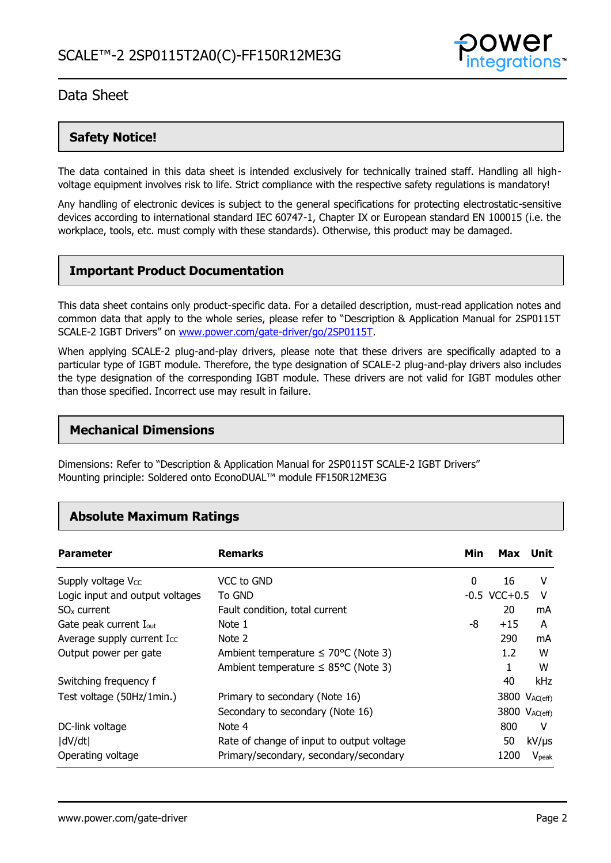

### **Safety Notice!**

The data contained in this data sheet is intended exclusively for technically trained staff. Handling all highvoltage equipment involves risk to life. Strict compliance with the respective safety regulations is mandatory!

Any handling of electronic devices is subject to the general specifications for protecting electrostatic-sensitive devices according to international standard IEC 60747-1, Chapter IX or European standard EN 100015 (i.e. the workplace, tools, etc. must comply with these standards). Otherwise, this product may be damaged.

### **Important Product Documentation**

This data sheet contains only product-specific data. For a detailed description, must-read application notes and common data that apply to the whole series, please refer to "Description & Application Manual for 2SP0115T SCALE-2 IGBT Drivers" on [www.power.com/gate-driver/go/2SP0115T.](http://www.power.com/gate-driver/go/2SP0115T)

When applying SCALE-2 plug-and-play drivers, please note that these drivers are specifically adapted to a particular type of IGBT module. Therefore, the type designation of SCALE-2 plug-and-play drivers also includes the type designation of the corresponding IGBT module. These drivers are not valid for IGBT modules other than those specified. Incorrect use may result in failure.

### **Mechanical Dimensions**

Dimensions: Refer to "Description & Application Manual for 2SP0115T SCALE-2 IGBT Drivers" Mounting principle: Soldered onto EconoDUAL™ module FF150R12ME3G

### **Absolute Maximum Ratings**

| <b>Parameter</b>                   | <b>Remarks</b>                                   | Min | Max                       | Unit              |
|------------------------------------|--------------------------------------------------|-----|---------------------------|-------------------|
| Supply voltage V <sub>cc</sub>     | VCC to GND                                       | 0   | 16                        | v                 |
| Logic input and output voltages    | To GND                                           |     | $-0.5$ VCC $+0.5$         | v                 |
| SO <sub>x</sub> current            | Fault condition, total current                   |     | 20                        | mA                |
| Gate peak current I <sub>out</sub> | Note 1                                           | -8  | $+15$                     | A                 |
| Average supply current Icc         | Note 2                                           |     | 290                       | mA                |
| Output power per gate              | Ambient temperature $\leq 70^{\circ}$ C (Note 3) |     | $1.2\,$                   | w                 |
|                                    | Ambient temperature $\leq$ 85°C (Note 3)         |     |                           | W                 |
| Switching frequency f              |                                                  |     | 40                        | kHz               |
| Test voltage (50Hz/1min.)          | Primary to secondary (Note 16)                   |     | 3800 $V_{AC(eff)}$        |                   |
|                                    | Secondary to secondary (Note 16)                 |     | 3800 V <sub>AC(eff)</sub> |                   |
| DC-link voltage                    | Note 4                                           |     | 800                       | v                 |
| dV/dt                              | Rate of change of input to output voltage        |     | 50                        | $kV/\mu s$        |
| Operating voltage                  | Primary/secondary, secondary/secondary           |     | 1200                      | V <sub>peak</sub> |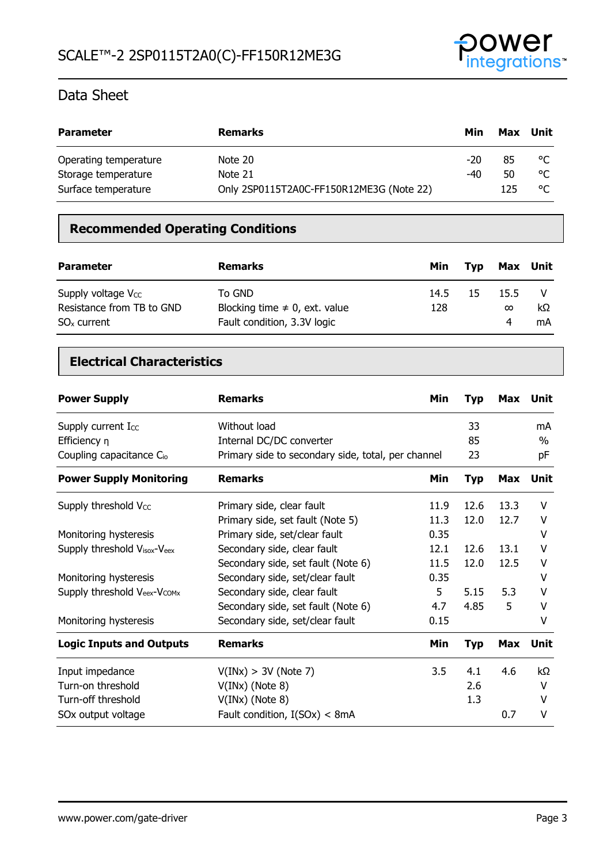

| <b>Parameter</b>      | <b>Remarks</b>                           | Min   | Max | Unit |
|-----------------------|------------------------------------------|-------|-----|------|
| Operating temperature | Note 20                                  | $-20$ | 85  | ిఁ   |
| Storage temperature   | Note 21                                  | -40   | 50  | °C   |
| Surface temperature   | Only 2SP0115T2A0C-FF150R12ME3G (Note 22) |       | 125 | °C   |

### **Recommended Operating Conditions**

| <b>Parameter</b>                                                      | <b>Remarks</b>                                                              | Min         | Tvp | Max Unit              |          |
|-----------------------------------------------------------------------|-----------------------------------------------------------------------------|-------------|-----|-----------------------|----------|
| Supply voltage $V_{CC}$<br>Resistance from TB to GND<br>$SOx$ current | To GND<br>Blocking time $\neq$ 0, ext. value<br>Fault condition, 3.3V logic | 14.5<br>128 | 15  | 15.5<br>$\infty$<br>4 | kΩ<br>mA |

### **Electrical Characteristics**

| <b>Power Supply</b>                  | <b>Remarks</b>                                     | Min  | <b>Typ</b> | <b>Max</b> | Unit        |
|--------------------------------------|----------------------------------------------------|------|------------|------------|-------------|
| Supply current Icc                   | Without load                                       |      | 33         |            | mA          |
| Efficiency $\eta$                    | Internal DC/DC converter                           |      | 85         |            | $\%$        |
| Coupling capacitance C <sub>io</sub> | Primary side to secondary side, total, per channel |      | 23         |            | pF          |
| <b>Power Supply Monitoring</b>       | <b>Remarks</b>                                     | Min  | <b>Typ</b> | <b>Max</b> | <b>Unit</b> |
| Supply threshold Vcc                 | Primary side, clear fault                          | 11.9 | 12.6       | 13.3       | V           |
|                                      | Primary side, set fault (Note 5)                   | 11.3 | 12.0       | 12.7       | V           |
| Monitoring hysteresis                | Primary side, set/clear fault                      | 0.35 |            |            | v           |
| Supply threshold Visox-Veex          | Secondary side, clear fault                        | 12.1 | 12.6       | 13.1       | v           |
|                                      | Secondary side, set fault (Note 6)                 | 11.5 | 12.0       | 12.5       | v           |
| Monitoring hysteresis                | Secondary side, set/clear fault                    | 0.35 |            |            | v           |
| Supply threshold Veex-Vcomx          | Secondary side, clear fault                        | 5    | 5.15       | 5.3        | v           |
|                                      | Secondary side, set fault (Note 6)                 | 4.7  | 4.85       | 5          | v           |
| Monitoring hysteresis                | Secondary side, set/clear fault                    | 0.15 |            |            | ٧           |
| <b>Logic Inputs and Outputs</b>      | <b>Remarks</b>                                     | Min  | <b>Typ</b> | <b>Max</b> | Unit        |
| Input impedance                      | V(INx) > 3V (Note 7)                               | 3.5  | 4.1        | 4.6        | kΩ          |
| Turn-on threshold                    | $V(INx)$ (Note 8)                                  |      | 2.6        |            | V           |
| Turn-off threshold                   | $V(INx)$ (Note 8)                                  |      | 1.3        |            | v           |
| SOx output voltage                   | Fault condition, $I(SOx) < 8mA$                    |      |            | 0.7        | V           |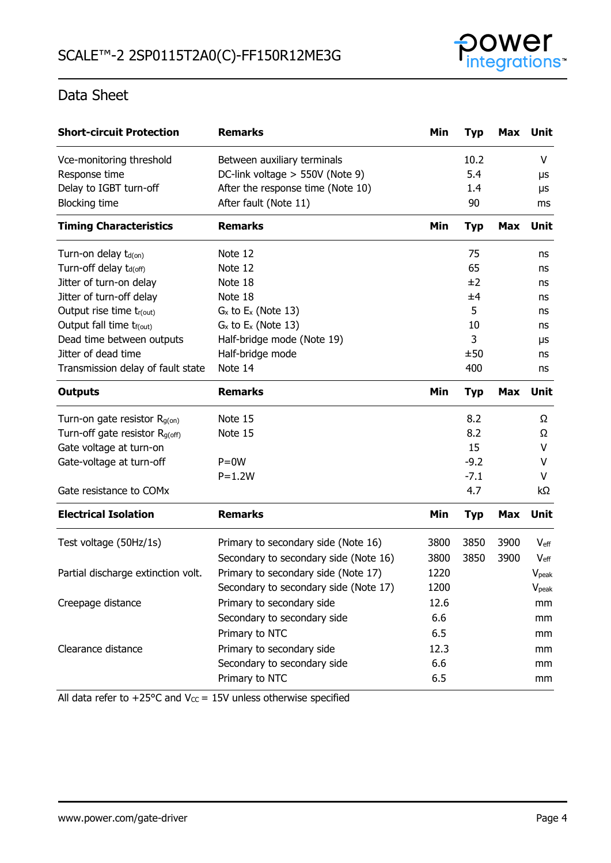

| <b>Short-circuit Protection</b>            | <b>Remarks</b>                        | Min  | <b>Typ</b> | Max        | Unit              |
|--------------------------------------------|---------------------------------------|------|------------|------------|-------------------|
| Vce-monitoring threshold                   | Between auxiliary terminals           |      | 10.2       |            | V                 |
| Response time                              | DC-link voltage > 550V (Note 9)       |      | 5.4        |            | μs                |
| Delay to IGBT turn-off                     | After the response time (Note 10)     |      | 1.4        |            | μs                |
| <b>Blocking time</b>                       | After fault (Note 11)                 |      | 90         |            | ms                |
| <b>Timing Characteristics</b>              | <b>Remarks</b>                        | Min  | <b>Typ</b> | <b>Max</b> | Unit              |
| Turn-on delay t <sub>d(on)</sub>           | Note 12                               |      | 75         |            | ns                |
| Turn-off delay t <sub>d(off)</sub>         | Note 12                               |      | 65         |            | ns                |
| Jitter of turn-on delay                    | Note 18                               |      | ±2         |            | ns                |
| Jitter of turn-off delay                   | Note 18                               |      | ±4         |            | ns                |
| Output rise time tr(out)                   | $G_x$ to $E_x$ (Note 13)              |      | 5          |            | ns                |
| Output fall time t <sub>f(out)</sub>       | $G_x$ to $E_x$ (Note 13)              |      | 10         |            | ns                |
| Dead time between outputs                  | Half-bridge mode (Note 19)            |      | 3          |            | μs                |
| Jitter of dead time                        | Half-bridge mode                      |      | ±50        |            | ns                |
| Transmission delay of fault state          | Note 14                               |      | 400        |            | ns                |
| <b>Outputs</b>                             | <b>Remarks</b>                        | Min  | <b>Typ</b> | <b>Max</b> | Unit              |
| Turn-on gate resistor $R_{g(on)}$          | Note 15                               |      | 8.2        |            | Ω                 |
| Turn-off gate resistor R <sub>g(off)</sub> | Note 15                               |      | 8.2        |            | Ω                 |
| Gate voltage at turn-on                    |                                       |      | 15         |            | V                 |
| Gate-voltage at turn-off                   | $P=0W$                                |      | $-9.2$     |            | v                 |
|                                            | $P = 1.2W$                            |      | $-7.1$     |            | V                 |
| Gate resistance to COMx                    |                                       |      | 4.7        |            | kΩ                |
| <b>Electrical Isolation</b>                | <b>Remarks</b>                        | Min  | <b>Typ</b> | <b>Max</b> | <b>Unit</b>       |
| Test voltage (50Hz/1s)                     | Primary to secondary side (Note 16)   | 3800 | 3850       | 3900       | $V_{\text{eff}}$  |
|                                            | Secondary to secondary side (Note 16) | 3800 | 3850       | 3900       | $V_{\text{eff}}$  |
| Partial discharge extinction volt.         | Primary to secondary side (Note 17)   | 1220 |            |            | V <sub>peak</sub> |
|                                            | Secondary to secondary side (Note 17) | 1200 |            |            | $V_{\rm peak}$    |
| Creepage distance                          | Primary to secondary side             | 12.6 |            |            | mm                |
|                                            | Secondary to secondary side           | 6.6  |            |            | mm                |
|                                            | Primary to NTC                        | 6.5  |            |            | mm                |
| Clearance distance                         | Primary to secondary side             | 12.3 |            |            | mm                |
|                                            | Secondary to secondary side           | 6.6  |            |            | mm                |
|                                            | Primary to NTC                        | 6.5  |            |            | mm                |

All data refer to +25 $^{\circ}$ C and V $_{\text{CC}}$  = 15V unless otherwise specified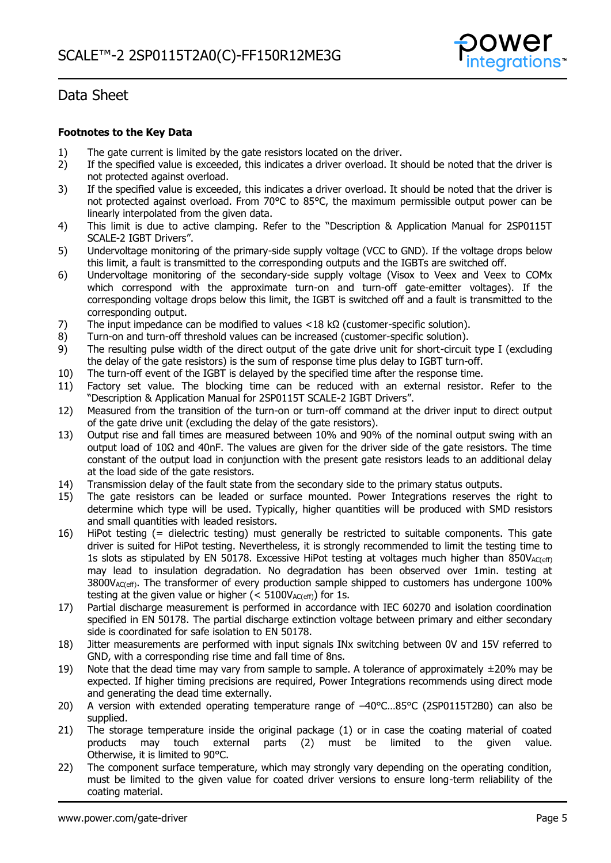

#### **Footnotes to the Key Data**

- 1) The gate current is limited by the gate resistors located on the driver.<br>2) If the specified value is exceeded, this indicates a driver overload. It s
- 2) If the specified value is exceeded, this indicates a driver overload. It should be noted that the driver is not protected against overload.
- 3) If the specified value is exceeded, this indicates a driver overload. It should be noted that the driver is not protected against overload. From 70°C to 85°C, the maximum permissible output power can be linearly interpolated from the given data.
- 4) This limit is due to active clamping. Refer to the "Description & Application Manual for 2SP0115T SCALE-2 IGBT Drivers".
- 5) Undervoltage monitoring of the primary-side supply voltage (VCC to GND). If the voltage drops below this limit, a fault is transmitted to the corresponding outputs and the IGBTs are switched off.
- 6) Undervoltage monitoring of the secondary-side supply voltage (Visox to Veex and Veex to COMx which correspond with the approximate turn-on and turn-off gate-emitter voltages). If the corresponding voltage drops below this limit, the IGBT is switched off and a fault is transmitted to the corresponding output.
- 7) The input impedance can be modified to values <18 kΩ (customer-specific solution).
- 8) Turn-on and turn-off threshold values can be increased (customer-specific solution).
- 9) The resulting pulse width of the direct output of the gate drive unit for short-circuit type I (excluding the delay of the gate resistors) is the sum of response time plus delay to IGBT turn-off.
- 10) The turn-off event of the IGBT is delayed by the specified time after the response time.
- 11) Factory set value. The blocking time can be reduced with an external resistor. Refer to the "Description & Application Manual for 2SP0115T SCALE-2 IGBT Drivers".
- 12) Measured from the transition of the turn-on or turn-off command at the driver input to direct output of the gate drive unit (excluding the delay of the gate resistors).
- 13) Output rise and fall times are measured between 10% and 90% of the nominal output swing with an output load of 10Ω and 40nF. The values are given for the driver side of the gate resistors. The time constant of the output load in conjunction with the present gate resistors leads to an additional delay at the load side of the gate resistors.
- 14) Transmission delay of the fault state from the secondary side to the primary status outputs.
- 15) The gate resistors can be leaded or surface mounted. Power Integrations reserves the right to determine which type will be used. Typically, higher quantities will be produced with SMD resistors and small quantities with leaded resistors.
- 16) HiPot testing (= dielectric testing) must generally be restricted to suitable components. This gate driver is suited for HiPot testing. Nevertheless, it is strongly recommended to limit the testing time to 1s slots as stipulated by EN 50178. Excessive HiPot testing at voltages much higher than  $850V_{AC(eff)}$ may lead to insulation degradation. No degradation has been observed over 1min. testing at 3800V<sub>AC(eff)</sub>. The transformer of every production sample shipped to customers has undergone 100% testing at the given value or higher ( $<$  5100V<sub>AC(eff)</sub>) for 1s.
- 17) Partial discharge measurement is performed in accordance with IEC 60270 and isolation coordination specified in EN 50178. The partial discharge extinction voltage between primary and either secondary side is coordinated for safe isolation to EN 50178.
- 18) Jitter measurements are performed with input signals INx switching between 0V and 15V referred to GND, with a corresponding rise time and fall time of 8ns.
- 19) Note that the dead time may vary from sample to sample. A tolerance of approximately  $\pm 20\%$  may be expected. If higher timing precisions are required, Power Integrations recommends using direct mode and generating the dead time externally.
- 20) A version with extended operating temperature range of -40°C...85°C (2SP0115T2B0) can also be supplied.
- 21) The storage temperature inside the original package (1) or in case the coating material of coated products may touch external parts (2) must be limited to the given value. Otherwise, it is limited to 90°C.
- 22) The component surface temperature, which may strongly vary depending on the operating condition, must be limited to the given value for coated driver versions to ensure long-term reliability of the coating material.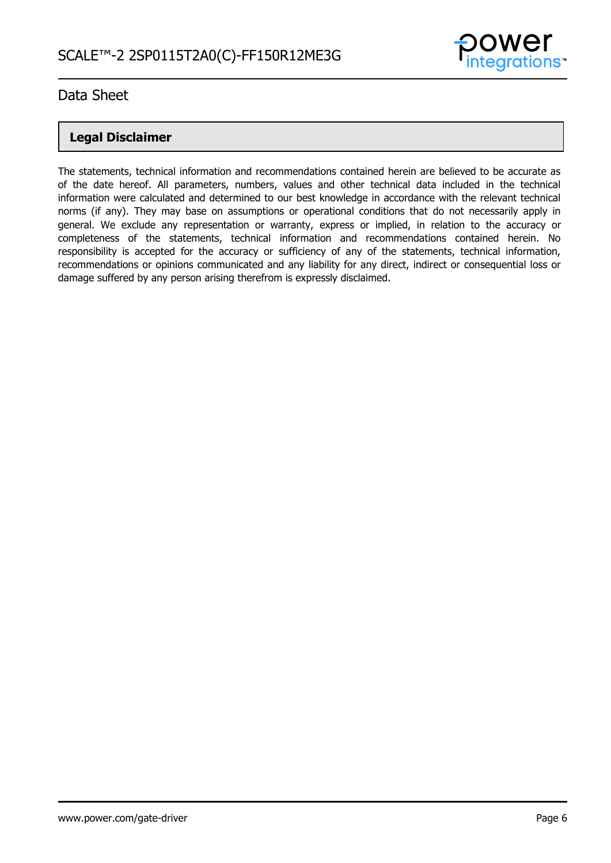

### **Legal Disclaimer**

The statements, technical information and recommendations contained herein are believed to be accurate as of the date hereof. All parameters, numbers, values and other technical data included in the technical information were calculated and determined to our best knowledge in accordance with the relevant technical norms (if any). They may base on assumptions or operational conditions that do not necessarily apply in general. We exclude any representation or warranty, express or implied, in relation to the accuracy or completeness of the statements, technical information and recommendations contained herein. No responsibility is accepted for the accuracy or sufficiency of any of the statements, technical information, recommendations or opinions communicated and any liability for any direct, indirect or consequential loss or damage suffered by any person arising therefrom is expressly disclaimed.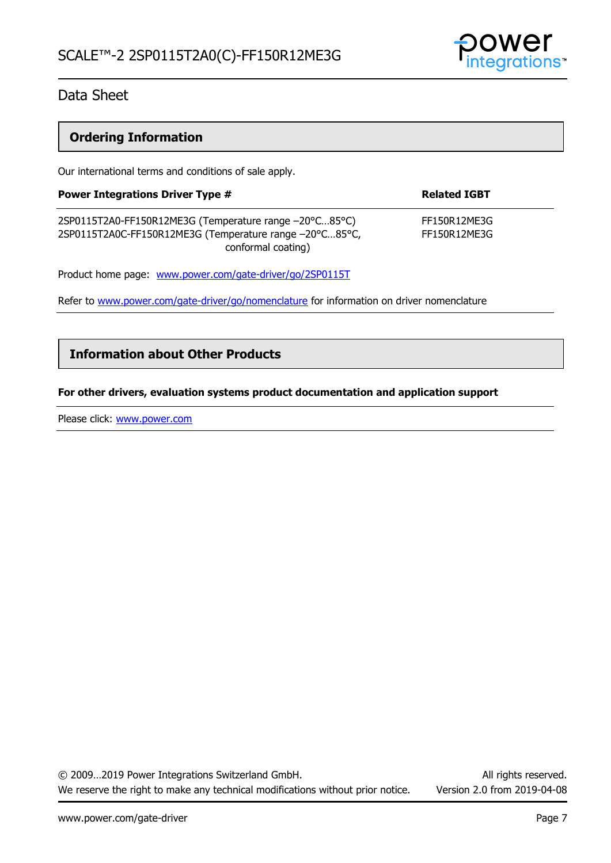

### **Ordering Information**

Our international terms and conditions of sale apply.

| <b>Power Integrations Driver Type #</b>                                                                                                 | <b>Related IGBT</b>          |  |
|-----------------------------------------------------------------------------------------------------------------------------------------|------------------------------|--|
| 2SP0115T2A0-FF150R12ME3G (Temperature range -20°C85°C)<br>2SP0115T2A0C-FF150R12ME3G (Temperature range -20°C85°C,<br>conformal coating) | FF150R12ME3G<br>FF150R12ME3G |  |
| Product home page: www.power.com/gate-driver/go/2SP0115T                                                                                |                              |  |

Refer to [www.power.com/gate-driver/go/nomenclature](http://www.power.com/gate-driver/go/nomenclature) for information on driver nomenclature

### **Information about Other Products**

#### **For other drivers, evaluation systems product documentation and application support**

Please click: [www.power.com](http://www.power.com/)